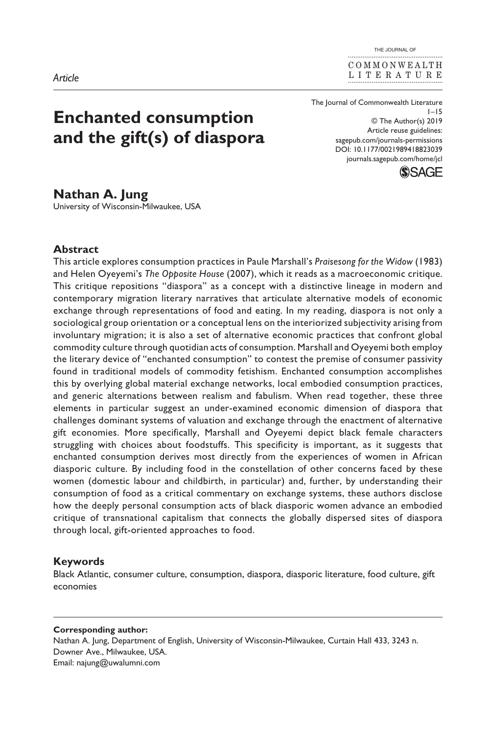THE JOURNAL OF

**COMMONWEALTH** LITERA TURE

# **Enchanted consumption and the gift(s) of diaspora**

DOI: 10.1177/0021989418823039 The Journal of Commonwealth Literature 1–15 © The Author(s) 2019 Article reuse guidelines: [sagepub.com/journals-permissions](https://uk.sagepub.com/en-gb/journals-permissions) [journals.sagepub.com/home/jcl](https://journals.sagepub.com/home/jcl)

**SSAGE** 

# **Nathan A. Jung**

University of Wisconsin-Milwaukee, USA

### **Abstract**

This article explores consumption practices in Paule Marshall's *Praisesong for the Widow* (1983) and Helen Oyeyemi's *The Opposite House* (2007), which it reads as a macroeconomic critique. This critique repositions "diaspora" as a concept with a distinctive lineage in modern and contemporary migration literary narratives that articulate alternative models of economic exchange through representations of food and eating. In my reading, diaspora is not only a sociological group orientation or a conceptual lens on the interiorized subjectivity arising from involuntary migration; it is also a set of alternative economic practices that confront global commodity culture through quotidian acts of consumption. Marshall and Oyeyemi both employ the literary device of "enchanted consumption" to contest the premise of consumer passivity found in traditional models of commodity fetishism. Enchanted consumption accomplishes this by overlying global material exchange networks, local embodied consumption practices, and generic alternations between realism and fabulism. When read together, these three elements in particular suggest an under-examined economic dimension of diaspora that challenges dominant systems of valuation and exchange through the enactment of alternative gift economies. More specifically, Marshall and Oyeyemi depict black female characters struggling with choices about foodstuffs. This specificity is important, as it suggests that enchanted consumption derives most directly from the experiences of women in African diasporic culture. By including food in the constellation of other concerns faced by these women (domestic labour and childbirth, in particular) and, further, by understanding their consumption of food as a critical commentary on exchange systems, these authors disclose how the deeply personal consumption acts of black diasporic women advance an embodied critique of transnational capitalism that connects the globally dispersed sites of diaspora through local, gift-oriented approaches to food.

#### **Keywords**

Black Atlantic, consumer culture, consumption, diaspora, diasporic literature, food culture, gift economies

#### **Corresponding author:**

Nathan A. Jung, Department of English, University of Wisconsin-Milwaukee, Curtain Hall 433, 3243 n. Downer Ave., Milwaukee, USA. Email: [najung@uwalumni.com](mailto:najung@uwalumni.com)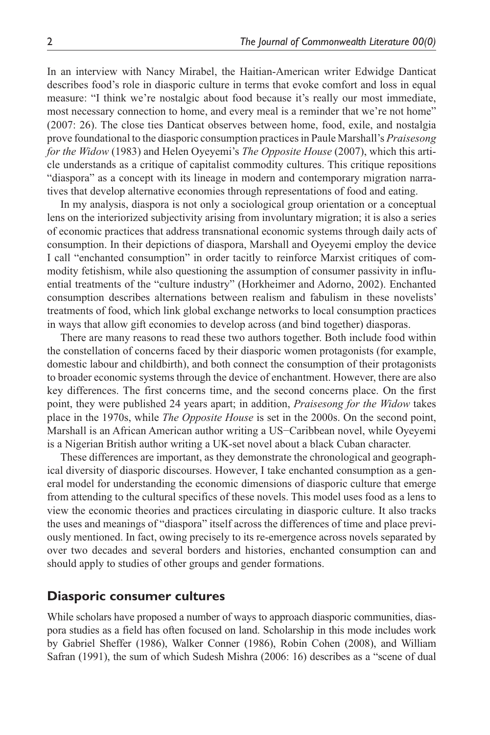In an interview with Nancy Mirabel, the Haitian-American writer Edwidge Danticat describes food's role in diasporic culture in terms that evoke comfort and loss in equal measure: "I think we're nostalgic about food because it's really our most immediate, most necessary connection to home, and every meal is a reminder that we're not home" (2007: 26). The close ties Danticat observes between home, food, exile, and nostalgia prove foundational to the diasporic consumption practices in Paule Marshall's *Praisesong for the Widow* (1983) and Helen Oyeyemi's *The Opposite House* (2007), which this article understands as a critique of capitalist commodity cultures. This critique repositions "diaspora" as a concept with its lineage in modern and contemporary migration narratives that develop alternative economies through representations of food and eating.

In my analysis, diaspora is not only a sociological group orientation or a conceptual lens on the interiorized subjectivity arising from involuntary migration; it is also a series of economic practices that address transnational economic systems through daily acts of consumption. In their depictions of diaspora, Marshall and Oyeyemi employ the device I call "enchanted consumption" in order tacitly to reinforce Marxist critiques of commodity fetishism, while also questioning the assumption of consumer passivity in influential treatments of the "culture industry" (Horkheimer and Adorno, 2002). Enchanted consumption describes alternations between realism and fabulism in these novelists' treatments of food, which link global exchange networks to local consumption practices in ways that allow gift economies to develop across (and bind together) diasporas.

There are many reasons to read these two authors together. Both include food within the constellation of concerns faced by their diasporic women protagonists (for example, domestic labour and childbirth), and both connect the consumption of their protagonists to broader economic systems through the device of enchantment. However, there are also key differences. The first concerns time, and the second concerns place. On the first point, they were published 24 years apart; in addition, *Praisesong for the Widow* takes place in the 1970s, while *The Opposite House* is set in the 2000s. On the second point, Marshall is an African American author writing a US−Caribbean novel, while Oyeyemi is a Nigerian British author writing a UK-set novel about a black Cuban character.

These differences are important, as they demonstrate the chronological and geographical diversity of diasporic discourses. However, I take enchanted consumption as a general model for understanding the economic dimensions of diasporic culture that emerge from attending to the cultural specifics of these novels. This model uses food as a lens to view the economic theories and practices circulating in diasporic culture. It also tracks the uses and meanings of "diaspora" itself across the differences of time and place previously mentioned. In fact, owing precisely to its re-emergence across novels separated by over two decades and several borders and histories, enchanted consumption can and should apply to studies of other groups and gender formations.

### **Diasporic consumer cultures**

While scholars have proposed a number of ways to approach diasporic communities, diaspora studies as a field has often focused on land. Scholarship in this mode includes work by Gabriel Sheffer (1986), Walker Conner (1986), Robin Cohen (2008), and William Safran (1991), the sum of which Sudesh Mishra (2006: 16) describes as a "scene of dual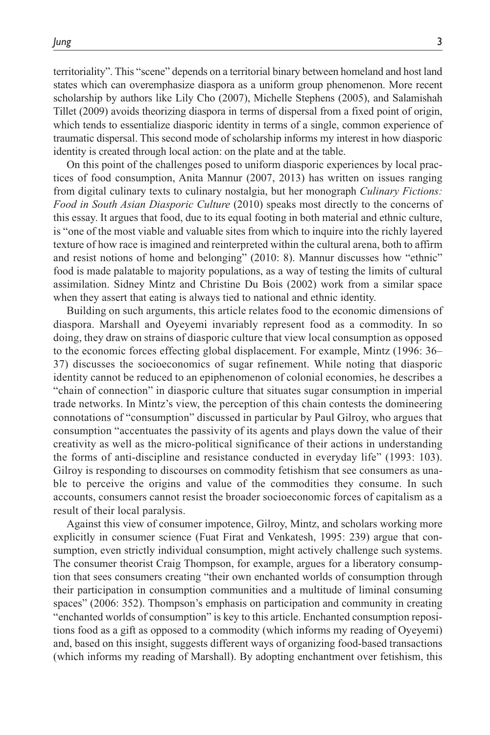territoriality". This "scene" depends on a territorial binary between homeland and host land states which can overemphasize diaspora as a uniform group phenomenon. More recent scholarship by authors like Lily Cho (2007), Michelle Stephens (2005), and Salamishah Tillet (2009) avoids theorizing diaspora in terms of dispersal from a fixed point of origin, which tends to essentialize diasporic identity in terms of a single, common experience of traumatic dispersal. This second mode of scholarship informs my interest in how diasporic identity is created through local action: on the plate and at the table.

On this point of the challenges posed to uniform diasporic experiences by local practices of food consumption, Anita Mannur (2007, 2013) has written on issues ranging from digital culinary texts to culinary nostalgia, but her monograph *Culinary Fictions: Food in South Asian Diasporic Culture* (2010) speaks most directly to the concerns of this essay. It argues that food, due to its equal footing in both material and ethnic culture, is "one of the most viable and valuable sites from which to inquire into the richly layered texture of how race is imagined and reinterpreted within the cultural arena, both to affirm and resist notions of home and belonging" (2010: 8). Mannur discusses how "ethnic" food is made palatable to majority populations, as a way of testing the limits of cultural assimilation. Sidney Mintz and Christine Du Bois (2002) work from a similar space when they assert that eating is always tied to national and ethnic identity.

Building on such arguments, this article relates food to the economic dimensions of diaspora. Marshall and Oyeyemi invariably represent food as a commodity. In so doing, they draw on strains of diasporic culture that view local consumption as opposed to the economic forces effecting global displacement. For example, Mintz (1996: 36– 37) discusses the socioeconomics of sugar refinement. While noting that diasporic identity cannot be reduced to an epiphenomenon of colonial economies, he describes a "chain of connection" in diasporic culture that situates sugar consumption in imperial trade networks. In Mintz's view, the perception of this chain contests the domineering connotations of "consumption" discussed in particular by Paul Gilroy, who argues that consumption "accentuates the passivity of its agents and plays down the value of their creativity as well as the micro-political significance of their actions in understanding the forms of anti-discipline and resistance conducted in everyday life" (1993: 103). Gilroy is responding to discourses on commodity fetishism that see consumers as unable to perceive the origins and value of the commodities they consume. In such accounts, consumers cannot resist the broader socioeconomic forces of capitalism as a result of their local paralysis.

Against this view of consumer impotence, Gilroy, Mintz, and scholars working more explicitly in consumer science (Fuat Firat and Venkatesh, 1995: 239) argue that consumption, even strictly individual consumption, might actively challenge such systems. The consumer theorist Craig Thompson, for example, argues for a liberatory consumption that sees consumers creating "their own enchanted worlds of consumption through their participation in consumption communities and a multitude of liminal consuming spaces" (2006: 352). Thompson's emphasis on participation and community in creating "enchanted worlds of consumption" is key to this article. Enchanted consumption repositions food as a gift as opposed to a commodity (which informs my reading of Oyeyemi) and, based on this insight, suggests different ways of organizing food-based transactions (which informs my reading of Marshall). By adopting enchantment over fetishism, this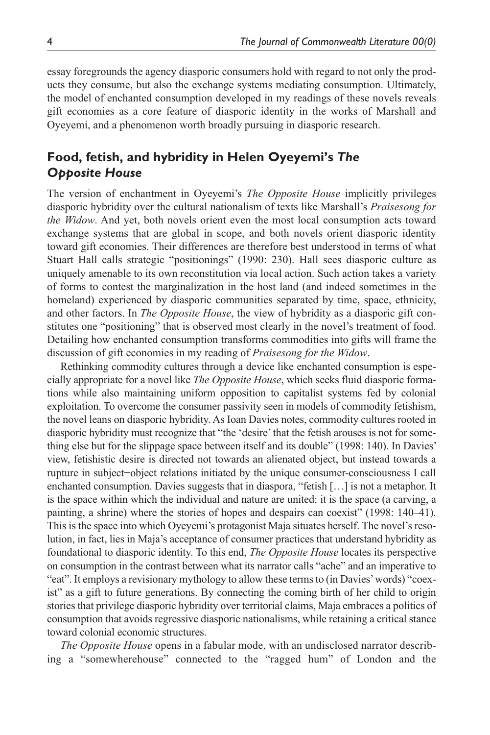essay foregrounds the agency diasporic consumers hold with regard to not only the products they consume, but also the exchange systems mediating consumption. Ultimately, the model of enchanted consumption developed in my readings of these novels reveals gift economies as a core feature of diasporic identity in the works of Marshall and Oyeyemi, and a phenomenon worth broadly pursuing in diasporic research.

# **Food, fetish, and hybridity in Helen Oyeyemi's** *The Opposite House*

The version of enchantment in Oyeyemi's *The Opposite House* implicitly privileges diasporic hybridity over the cultural nationalism of texts like Marshall's *Praisesong for the Widow*. And yet, both novels orient even the most local consumption acts toward exchange systems that are global in scope, and both novels orient diasporic identity toward gift economies. Their differences are therefore best understood in terms of what Stuart Hall calls strategic "positionings" (1990: 230). Hall sees diasporic culture as uniquely amenable to its own reconstitution via local action. Such action takes a variety of forms to contest the marginalization in the host land (and indeed sometimes in the homeland) experienced by diasporic communities separated by time, space, ethnicity, and other factors. In *The Opposite House*, the view of hybridity as a diasporic gift constitutes one "positioning" that is observed most clearly in the novel's treatment of food. Detailing how enchanted consumption transforms commodities into gifts will frame the discussion of gift economies in my reading of *Praisesong for the Widow*.

Rethinking commodity cultures through a device like enchanted consumption is especially appropriate for a novel like *The Opposite House*, which seeks fluid diasporic formations while also maintaining uniform opposition to capitalist systems fed by colonial exploitation. To overcome the consumer passivity seen in models of commodity fetishism, the novel leans on diasporic hybridity. As Ioan Davies notes, commodity cultures rooted in diasporic hybridity must recognize that "the 'desire' that the fetish arouses is not for something else but for the slippage space between itself and its double" (1998: 140). In Davies' view, fetishistic desire is directed not towards an alienated object, but instead towards a rupture in subject−object relations initiated by the unique consumer-consciousness I call enchanted consumption. Davies suggests that in diaspora, "fetish […] is not a metaphor. It is the space within which the individual and nature are united: it is the space (a carving, a painting, a shrine) where the stories of hopes and despairs can coexist" (1998: 140–41). This is the space into which Oyeyemi's protagonist Maja situates herself. The novel's resolution, in fact, lies in Maja's acceptance of consumer practices that understand hybridity as foundational to diasporic identity. To this end, *The Opposite House* locates its perspective on consumption in the contrast between what its narrator calls "ache" and an imperative to "eat". It employs a revisionary mythology to allow these terms to (in Davies' words) "coexist" as a gift to future generations. By connecting the coming birth of her child to origin stories that privilege diasporic hybridity over territorial claims, Maja embraces a politics of consumption that avoids regressive diasporic nationalisms, while retaining a critical stance toward colonial economic structures.

*The Opposite House* opens in a fabular mode, with an undisclosed narrator describing a "somewherehouse" connected to the "ragged hum" of London and the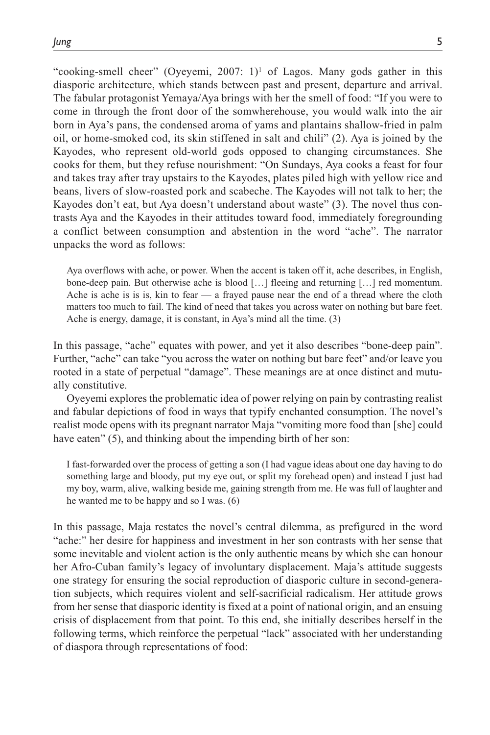"cooking-smell cheer" (Oyeyemi, 2007:  $1$ <sup>1</sup> of Lagos. Many gods gather in this diasporic architecture, which stands between past and present, departure and arrival. The fabular protagonist Yemaya/Aya brings with her the smell of food: "If you were to come in through the front door of the somwherehouse, you would walk into the air born in Aya's pans, the condensed aroma of yams and plantains shallow-fried in palm oil, or home-smoked cod, its skin stiffened in salt and chili" (2). Aya is joined by the Kayodes, who represent old-world gods opposed to changing circumstances. She cooks for them, but they refuse nourishment: "On Sundays, Aya cooks a feast for four and takes tray after tray upstairs to the Kayodes, plates piled high with yellow rice and beans, livers of slow-roasted pork and scabeche. The Kayodes will not talk to her; the Kayodes don't eat, but Aya doesn't understand about waste" (3). The novel thus contrasts Aya and the Kayodes in their attitudes toward food, immediately foregrounding a conflict between consumption and abstention in the word "ache". The narrator unpacks the word as follows:

Aya overflows with ache, or power. When the accent is taken off it, ache describes, in English, bone-deep pain. But otherwise ache is blood […] fleeing and returning […] red momentum. Ache is ache is is is, kin to fear — a frayed pause near the end of a thread where the cloth matters too much to fail. The kind of need that takes you across water on nothing but bare feet. Ache is energy, damage, it is constant, in Aya's mind all the time. (3)

In this passage, "ache" equates with power, and yet it also describes "bone-deep pain". Further, "ache" can take "you across the water on nothing but bare feet" and/or leave you rooted in a state of perpetual "damage". These meanings are at once distinct and mutually constitutive.

Oyeyemi explores the problematic idea of power relying on pain by contrasting realist and fabular depictions of food in ways that typify enchanted consumption. The novel's realist mode opens with its pregnant narrator Maja "vomiting more food than [she] could have eaten" (5), and thinking about the impending birth of her son:

I fast-forwarded over the process of getting a son (I had vague ideas about one day having to do something large and bloody, put my eye out, or split my forehead open) and instead I just had my boy, warm, alive, walking beside me, gaining strength from me. He was full of laughter and he wanted me to be happy and so I was. (6)

In this passage, Maja restates the novel's central dilemma, as prefigured in the word "ache:" her desire for happiness and investment in her son contrasts with her sense that some inevitable and violent action is the only authentic means by which she can honour her Afro-Cuban family's legacy of involuntary displacement. Maja's attitude suggests one strategy for ensuring the social reproduction of diasporic culture in second-generation subjects, which requires violent and self-sacrificial radicalism. Her attitude grows from her sense that diasporic identity is fixed at a point of national origin, and an ensuing crisis of displacement from that point. To this end, she initially describes herself in the following terms, which reinforce the perpetual "lack" associated with her understanding of diaspora through representations of food: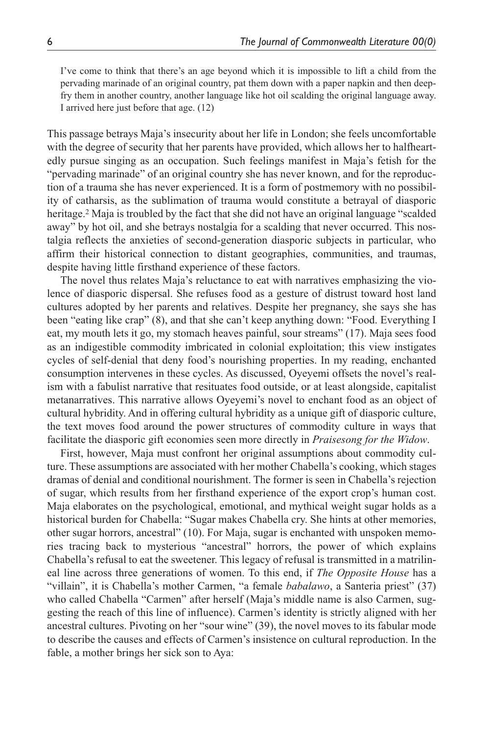I've come to think that there's an age beyond which it is impossible to lift a child from the pervading marinade of an original country, pat them down with a paper napkin and then deepfry them in another country, another language like hot oil scalding the original language away. I arrived here just before that age. (12)

This passage betrays Maja's insecurity about her life in London; she feels uncomfortable with the degree of security that her parents have provided, which allows her to halfheartedly pursue singing as an occupation. Such feelings manifest in Maja's fetish for the "pervading marinade" of an original country she has never known, and for the reproduction of a trauma she has never experienced. It is a form of postmemory with no possibility of catharsis, as the sublimation of trauma would constitute a betrayal of diasporic heritage.2 Maja is troubled by the fact that she did not have an original language "scalded away" by hot oil, and she betrays nostalgia for a scalding that never occurred. This nostalgia reflects the anxieties of second-generation diasporic subjects in particular, who affirm their historical connection to distant geographies, communities, and traumas, despite having little firsthand experience of these factors.

The novel thus relates Maja's reluctance to eat with narratives emphasizing the violence of diasporic dispersal. She refuses food as a gesture of distrust toward host land cultures adopted by her parents and relatives. Despite her pregnancy, she says she has been "eating like crap" (8), and that she can't keep anything down: "Food. Everything I eat, my mouth lets it go, my stomach heaves painful, sour streams" (17). Maja sees food as an indigestible commodity imbricated in colonial exploitation; this view instigates cycles of self-denial that deny food's nourishing properties. In my reading, enchanted consumption intervenes in these cycles. As discussed, Oyeyemi offsets the novel's realism with a fabulist narrative that resituates food outside, or at least alongside, capitalist metanarratives. This narrative allows Oyeyemi's novel to enchant food as an object of cultural hybridity. And in offering cultural hybridity as a unique gift of diasporic culture, the text moves food around the power structures of commodity culture in ways that facilitate the diasporic gift economies seen more directly in *Praisesong for the Widow*.

First, however, Maja must confront her original assumptions about commodity culture. These assumptions are associated with her mother Chabella's cooking, which stages dramas of denial and conditional nourishment. The former is seen in Chabella's rejection of sugar, which results from her firsthand experience of the export crop's human cost. Maja elaborates on the psychological, emotional, and mythical weight sugar holds as a historical burden for Chabella: "Sugar makes Chabella cry. She hints at other memories, other sugar horrors, ancestral" (10). For Maja, sugar is enchanted with unspoken memories tracing back to mysterious "ancestral" horrors, the power of which explains Chabella's refusal to eat the sweetener. This legacy of refusal is transmitted in a matrilineal line across three generations of women. To this end, if *The Opposite House* has a "villain", it is Chabella's mother Carmen, "a female *babalawo*, a Santeria priest" (37) who called Chabella "Carmen" after herself (Maja's middle name is also Carmen, suggesting the reach of this line of influence). Carmen's identity is strictly aligned with her ancestral cultures. Pivoting on her "sour wine" (39), the novel moves to its fabular mode to describe the causes and effects of Carmen's insistence on cultural reproduction. In the fable, a mother brings her sick son to Aya: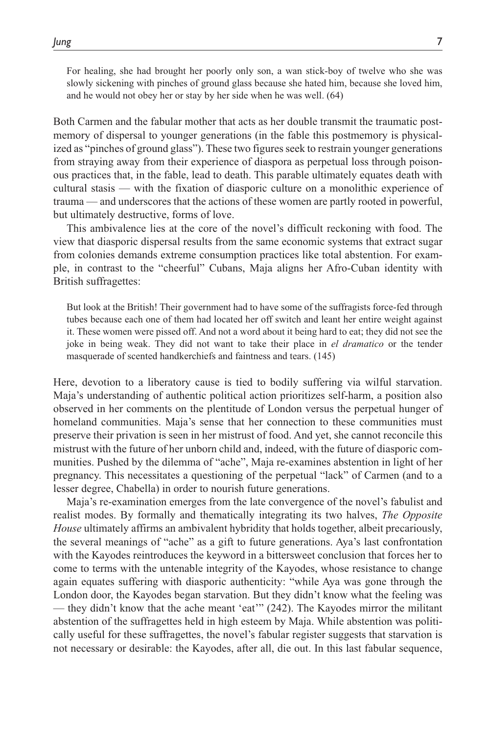For healing, she had brought her poorly only son, a wan stick-boy of twelve who she was slowly sickening with pinches of ground glass because she hated him, because she loved him, and he would not obey her or stay by her side when he was well. (64)

Both Carmen and the fabular mother that acts as her double transmit the traumatic postmemory of dispersal to younger generations (in the fable this postmemory is physicalized as "pinches of ground glass"). These two figures seek to restrain younger generations from straying away from their experience of diaspora as perpetual loss through poisonous practices that, in the fable, lead to death. This parable ultimately equates death with cultural stasis — with the fixation of diasporic culture on a monolithic experience of trauma — and underscores that the actions of these women are partly rooted in powerful, but ultimately destructive, forms of love.

This ambivalence lies at the core of the novel's difficult reckoning with food. The view that diasporic dispersal results from the same economic systems that extract sugar from colonies demands extreme consumption practices like total abstention. For example, in contrast to the "cheerful" Cubans, Maja aligns her Afro-Cuban identity with British suffragettes:

But look at the British! Their government had to have some of the suffragists force-fed through tubes because each one of them had located her off switch and leant her entire weight against it. These women were pissed off. And not a word about it being hard to eat; they did not see the joke in being weak. They did not want to take their place in *el dramatico* or the tender masquerade of scented handkerchiefs and faintness and tears. (145)

Here, devotion to a liberatory cause is tied to bodily suffering via wilful starvation. Maja's understanding of authentic political action prioritizes self-harm, a position also observed in her comments on the plentitude of London versus the perpetual hunger of homeland communities. Maja's sense that her connection to these communities must preserve their privation is seen in her mistrust of food. And yet, she cannot reconcile this mistrust with the future of her unborn child and, indeed, with the future of diasporic communities. Pushed by the dilemma of "ache", Maja re-examines abstention in light of her pregnancy. This necessitates a questioning of the perpetual "lack" of Carmen (and to a lesser degree, Chabella) in order to nourish future generations.

Maja's re-examination emerges from the late convergence of the novel's fabulist and realist modes. By formally and thematically integrating its two halves, *The Opposite House* ultimately affirms an ambivalent hybridity that holds together, albeit precariously, the several meanings of "ache" as a gift to future generations. Aya's last confrontation with the Kayodes reintroduces the keyword in a bittersweet conclusion that forces her to come to terms with the untenable integrity of the Kayodes, whose resistance to change again equates suffering with diasporic authenticity: "while Aya was gone through the London door, the Kayodes began starvation. But they didn't know what the feeling was — they didn't know that the ache meant 'eat'" (242). The Kayodes mirror the militant abstention of the suffragettes held in high esteem by Maja. While abstention was politically useful for these suffragettes, the novel's fabular register suggests that starvation is not necessary or desirable: the Kayodes, after all, die out. In this last fabular sequence,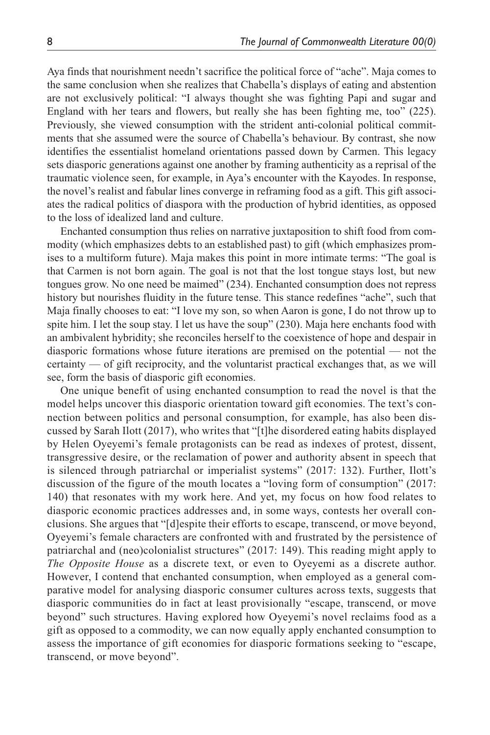Aya finds that nourishment needn't sacrifice the political force of "ache". Maja comes to the same conclusion when she realizes that Chabella's displays of eating and abstention are not exclusively political: "I always thought she was fighting Papi and sugar and England with her tears and flowers, but really she has been fighting me, too" (225). Previously, she viewed consumption with the strident anti-colonial political commitments that she assumed were the source of Chabella's behaviour. By contrast, she now identifies the essentialist homeland orientations passed down by Carmen. This legacy sets diasporic generations against one another by framing authenticity as a reprisal of the traumatic violence seen, for example, in Aya's encounter with the Kayodes. In response, the novel's realist and fabular lines converge in reframing food as a gift. This gift associates the radical politics of diaspora with the production of hybrid identities, as opposed to the loss of idealized land and culture.

Enchanted consumption thus relies on narrative juxtaposition to shift food from commodity (which emphasizes debts to an established past) to gift (which emphasizes promises to a multiform future). Maja makes this point in more intimate terms: "The goal is that Carmen is not born again. The goal is not that the lost tongue stays lost, but new tongues grow. No one need be maimed" (234). Enchanted consumption does not repress history but nourishes fluidity in the future tense. This stance redefines "ache", such that Maja finally chooses to eat: "I love my son, so when Aaron is gone, I do not throw up to spite him. I let the soup stay. I let us have the soup" (230). Maja here enchants food with an ambivalent hybridity; she reconciles herself to the coexistence of hope and despair in diasporic formations whose future iterations are premised on the potential — not the certainty — of gift reciprocity, and the voluntarist practical exchanges that, as we will see, form the basis of diasporic gift economies.

One unique benefit of using enchanted consumption to read the novel is that the model helps uncover this diasporic orientation toward gift economies. The text's connection between politics and personal consumption, for example, has also been discussed by Sarah Ilott (2017), who writes that "[t]he disordered eating habits displayed by Helen Oyeyemi's female protagonists can be read as indexes of protest, dissent, transgressive desire, or the reclamation of power and authority absent in speech that is silenced through patriarchal or imperialist systems" (2017: 132). Further, Ilott's discussion of the figure of the mouth locates a "loving form of consumption" (2017: 140) that resonates with my work here. And yet, my focus on how food relates to diasporic economic practices addresses and, in some ways, contests her overall conclusions. She argues that "[d]espite their efforts to escape, transcend, or move beyond, Oyeyemi's female characters are confronted with and frustrated by the persistence of patriarchal and (neo)colonialist structures" (2017: 149). This reading might apply to *The Opposite House* as a discrete text, or even to Oyeyemi as a discrete author. However, I contend that enchanted consumption, when employed as a general comparative model for analysing diasporic consumer cultures across texts, suggests that diasporic communities do in fact at least provisionally "escape, transcend, or move beyond" such structures. Having explored how Oyeyemi's novel reclaims food as a gift as opposed to a commodity, we can now equally apply enchanted consumption to assess the importance of gift economies for diasporic formations seeking to "escape, transcend, or move beyond".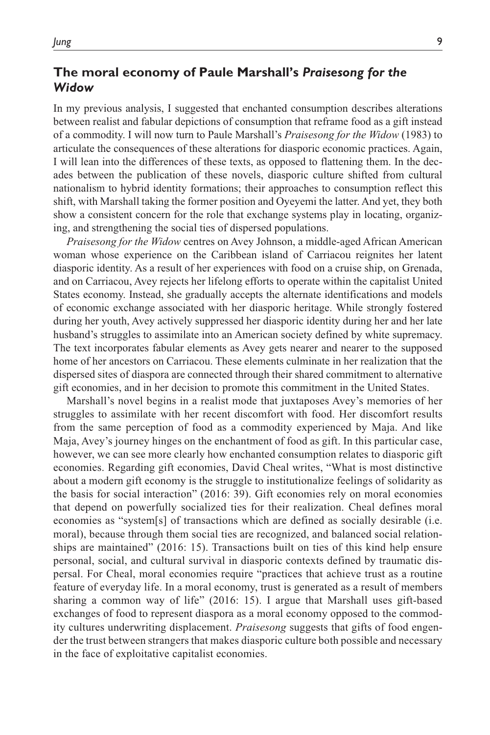# **The moral economy of Paule Marshall's** *Praisesong for the Widow*

In my previous analysis, I suggested that enchanted consumption describes alterations between realist and fabular depictions of consumption that reframe food as a gift instead of a commodity. I will now turn to Paule Marshall's *Praisesong for the Widow* (1983) to articulate the consequences of these alterations for diasporic economic practices. Again, I will lean into the differences of these texts, as opposed to flattening them. In the decades between the publication of these novels, diasporic culture shifted from cultural nationalism to hybrid identity formations; their approaches to consumption reflect this shift, with Marshall taking the former position and Oyeyemi the latter. And yet, they both show a consistent concern for the role that exchange systems play in locating, organizing, and strengthening the social ties of dispersed populations.

*Praisesong for the Widow* centres on Avey Johnson, a middle-aged African American woman whose experience on the Caribbean island of Carriacou reignites her latent diasporic identity. As a result of her experiences with food on a cruise ship, on Grenada, and on Carriacou, Avey rejects her lifelong efforts to operate within the capitalist United States economy. Instead, she gradually accepts the alternate identifications and models of economic exchange associated with her diasporic heritage. While strongly fostered during her youth, Avey actively suppressed her diasporic identity during her and her late husband's struggles to assimilate into an American society defined by white supremacy. The text incorporates fabular elements as Avey gets nearer and nearer to the supposed home of her ancestors on Carriacou. These elements culminate in her realization that the dispersed sites of diaspora are connected through their shared commitment to alternative gift economies, and in her decision to promote this commitment in the United States.

Marshall's novel begins in a realist mode that juxtaposes Avey's memories of her struggles to assimilate with her recent discomfort with food. Her discomfort results from the same perception of food as a commodity experienced by Maja. And like Maja, Avey's journey hinges on the enchantment of food as gift. In this particular case, however, we can see more clearly how enchanted consumption relates to diasporic gift economies. Regarding gift economies, David Cheal writes, "What is most distinctive about a modern gift economy is the struggle to institutionalize feelings of solidarity as the basis for social interaction" (2016: 39). Gift economies rely on moral economies that depend on powerfully socialized ties for their realization. Cheal defines moral economies as "system[s] of transactions which are defined as socially desirable (i.e. moral), because through them social ties are recognized, and balanced social relationships are maintained" (2016: 15). Transactions built on ties of this kind help ensure personal, social, and cultural survival in diasporic contexts defined by traumatic dispersal. For Cheal, moral economies require "practices that achieve trust as a routine feature of everyday life. In a moral economy, trust is generated as a result of members sharing a common way of life" (2016: 15). I argue that Marshall uses gift-based exchanges of food to represent diaspora as a moral economy opposed to the commodity cultures underwriting displacement. *Praisesong* suggests that gifts of food engender the trust between strangers that makes diasporic culture both possible and necessary in the face of exploitative capitalist economies.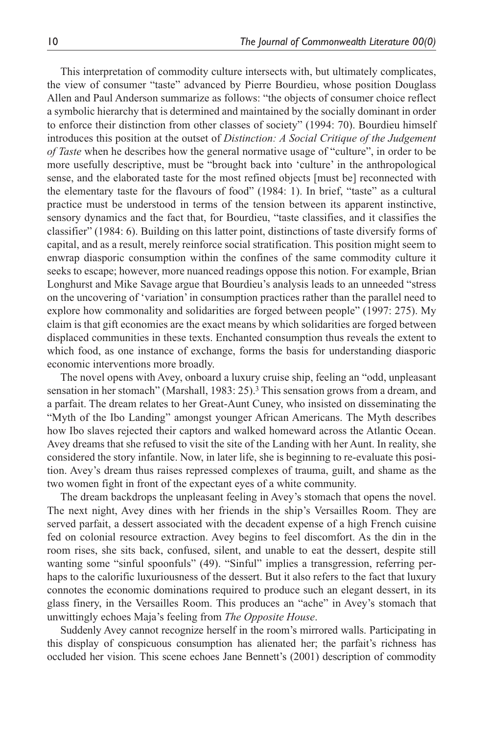This interpretation of commodity culture intersects with, but ultimately complicates, the view of consumer "taste" advanced by Pierre Bourdieu, whose position Douglass Allen and Paul Anderson summarize as follows: "the objects of consumer choice reflect a symbolic hierarchy that is determined and maintained by the socially dominant in order to enforce their distinction from other classes of society" (1994: 70). Bourdieu himself introduces this position at the outset of *Distinction: A Social Critique of the Judgement of Taste* when he describes how the general normative usage of "culture", in order to be more usefully descriptive, must be "brought back into 'culture' in the anthropological sense, and the elaborated taste for the most refined objects [must be] reconnected with the elementary taste for the flavours of food" (1984: 1). In brief, "taste" as a cultural practice must be understood in terms of the tension between its apparent instinctive, sensory dynamics and the fact that, for Bourdieu, "taste classifies, and it classifies the classifier" (1984: 6). Building on this latter point, distinctions of taste diversify forms of capital, and as a result, merely reinforce social stratification. This position might seem to enwrap diasporic consumption within the confines of the same commodity culture it seeks to escape; however, more nuanced readings oppose this notion. For example, Brian Longhurst and Mike Savage argue that Bourdieu's analysis leads to an unneeded "stress on the uncovering of 'variation' in consumption practices rather than the parallel need to explore how commonality and solidarities are forged between people" (1997: 275). My claim is that gift economies are the exact means by which solidarities are forged between displaced communities in these texts. Enchanted consumption thus reveals the extent to which food, as one instance of exchange, forms the basis for understanding diasporic economic interventions more broadly.

The novel opens with Avey, onboard a luxury cruise ship, feeling an "odd, unpleasant sensation in her stomach" (Marshall, 1983: 25).3 This sensation grows from a dream, and a parfait. The dream relates to her Great-Aunt Cuney, who insisted on disseminating the "Myth of the Ibo Landing" amongst younger African Americans. The Myth describes how Ibo slaves rejected their captors and walked homeward across the Atlantic Ocean. Avey dreams that she refused to visit the site of the Landing with her Aunt. In reality, she considered the story infantile. Now, in later life, she is beginning to re-evaluate this position. Avey's dream thus raises repressed complexes of trauma, guilt, and shame as the two women fight in front of the expectant eyes of a white community.

The dream backdrops the unpleasant feeling in Avey's stomach that opens the novel. The next night, Avey dines with her friends in the ship's Versailles Room. They are served parfait, a dessert associated with the decadent expense of a high French cuisine fed on colonial resource extraction. Avey begins to feel discomfort. As the din in the room rises, she sits back, confused, silent, and unable to eat the dessert, despite still wanting some "sinful spoonfuls" (49). "Sinful" implies a transgression, referring perhaps to the calorific luxuriousness of the dessert. But it also refers to the fact that luxury connotes the economic dominations required to produce such an elegant dessert, in its glass finery, in the Versailles Room. This produces an "ache" in Avey's stomach that unwittingly echoes Maja's feeling from *The Opposite House*.

Suddenly Avey cannot recognize herself in the room's mirrored walls. Participating in this display of conspicuous consumption has alienated her; the parfait's richness has occluded her vision. This scene echoes Jane Bennett's (2001) description of commodity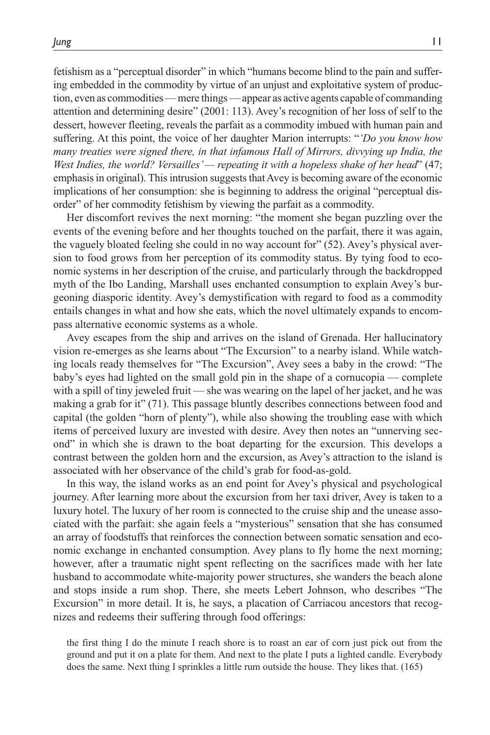fetishism as a "perceptual disorder" in which "humans become blind to the pain and suffering embedded in the commodity by virtue of an unjust and exploitative system of production, even as commodities — mere things — appear as active agents capable of commanding attention and determining desire" (2001: 113). Avey's recognition of her loss of self to the dessert, however fleeting, reveals the parfait as a commodity imbued with human pain and suffering. At this point, the voice of her daughter Marion interrupts: "*'Do you know how many treaties were signed there, in that infamous Hall of Mirrors, divvying up India, the West Indies, the world? Versailles' — repeating it with a hopeless shake of her head*" (47; emphasis in original). This intrusion suggests that Avey is becoming aware of the economic implications of her consumption: she is beginning to address the original "perceptual disorder" of her commodity fetishism by viewing the parfait as a commodity.

Her discomfort revives the next morning: "the moment she began puzzling over the events of the evening before and her thoughts touched on the parfait, there it was again, the vaguely bloated feeling she could in no way account for" (52). Avey's physical aversion to food grows from her perception of its commodity status. By tying food to economic systems in her description of the cruise, and particularly through the backdropped myth of the Ibo Landing, Marshall uses enchanted consumption to explain Avey's burgeoning diasporic identity. Avey's demystification with regard to food as a commodity entails changes in what and how she eats, which the novel ultimately expands to encompass alternative economic systems as a whole.

Avey escapes from the ship and arrives on the island of Grenada. Her hallucinatory vision re-emerges as she learns about "The Excursion" to a nearby island. While watching locals ready themselves for "The Excursion", Avey sees a baby in the crowd: "The baby's eyes had lighted on the small gold pin in the shape of a cornucopia — complete with a spill of tiny jeweled fruit — she was wearing on the lapel of her jacket, and he was making a grab for it" (71). This passage bluntly describes connections between food and capital (the golden "horn of plenty"), while also showing the troubling ease with which items of perceived luxury are invested with desire. Avey then notes an "unnerving second" in which she is drawn to the boat departing for the excursion. This develops a contrast between the golden horn and the excursion, as Avey's attraction to the island is associated with her observance of the child's grab for food-as-gold.

In this way, the island works as an end point for Avey's physical and psychological journey. After learning more about the excursion from her taxi driver, Avey is taken to a luxury hotel. The luxury of her room is connected to the cruise ship and the unease associated with the parfait: she again feels a "mysterious" sensation that she has consumed an array of foodstuffs that reinforces the connection between somatic sensation and economic exchange in enchanted consumption. Avey plans to fly home the next morning; however, after a traumatic night spent reflecting on the sacrifices made with her late husband to accommodate white-majority power structures, she wanders the beach alone and stops inside a rum shop. There, she meets Lebert Johnson, who describes "The Excursion" in more detail. It is, he says, a placation of Carriacou ancestors that recognizes and redeems their suffering through food offerings:

the first thing I do the minute I reach shore is to roast an ear of corn just pick out from the ground and put it on a plate for them. And next to the plate I puts a lighted candle. Everybody does the same. Next thing I sprinkles a little rum outside the house. They likes that. (165)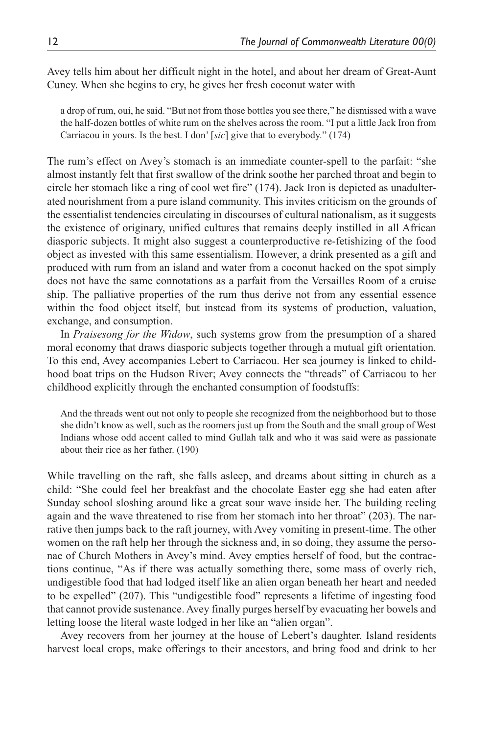Avey tells him about her difficult night in the hotel, and about her dream of Great-Aunt Cuney. When she begins to cry, he gives her fresh coconut water with

a drop of rum, oui, he said. "But not from those bottles you see there," he dismissed with a wave the half-dozen bottles of white rum on the shelves across the room. "I put a little Jack Iron from Carriacou in yours. Is the best. I don' [*sic*] give that to everybody." (174)

The rum's effect on Avey's stomach is an immediate counter-spell to the parfait: "she almost instantly felt that first swallow of the drink soothe her parched throat and begin to circle her stomach like a ring of cool wet fire" (174). Jack Iron is depicted as unadulterated nourishment from a pure island community. This invites criticism on the grounds of the essentialist tendencies circulating in discourses of cultural nationalism, as it suggests the existence of originary, unified cultures that remains deeply instilled in all African diasporic subjects. It might also suggest a counterproductive re-fetishizing of the food object as invested with this same essentialism. However, a drink presented as a gift and produced with rum from an island and water from a coconut hacked on the spot simply does not have the same connotations as a parfait from the Versailles Room of a cruise ship. The palliative properties of the rum thus derive not from any essential essence within the food object itself, but instead from its systems of production, valuation, exchange, and consumption.

In *Praisesong for the Widow*, such systems grow from the presumption of a shared moral economy that draws diasporic subjects together through a mutual gift orientation. To this end, Avey accompanies Lebert to Carriacou. Her sea journey is linked to childhood boat trips on the Hudson River; Avey connects the "threads" of Carriacou to her childhood explicitly through the enchanted consumption of foodstuffs:

And the threads went out not only to people she recognized from the neighborhood but to those she didn't know as well, such as the roomers just up from the South and the small group of West Indians whose odd accent called to mind Gullah talk and who it was said were as passionate about their rice as her father. (190)

While travelling on the raft, she falls asleep, and dreams about sitting in church as a child: "She could feel her breakfast and the chocolate Easter egg she had eaten after Sunday school sloshing around like a great sour wave inside her. The building reeling again and the wave threatened to rise from her stomach into her throat" (203). The narrative then jumps back to the raft journey, with Avey vomiting in present-time. The other women on the raft help her through the sickness and, in so doing, they assume the personae of Church Mothers in Avey's mind. Avey empties herself of food, but the contractions continue, "As if there was actually something there, some mass of overly rich, undigestible food that had lodged itself like an alien organ beneath her heart and needed to be expelled" (207). This "undigestible food" represents a lifetime of ingesting food that cannot provide sustenance. Avey finally purges herself by evacuating her bowels and letting loose the literal waste lodged in her like an "alien organ".

Avey recovers from her journey at the house of Lebert's daughter. Island residents harvest local crops, make offerings to their ancestors, and bring food and drink to her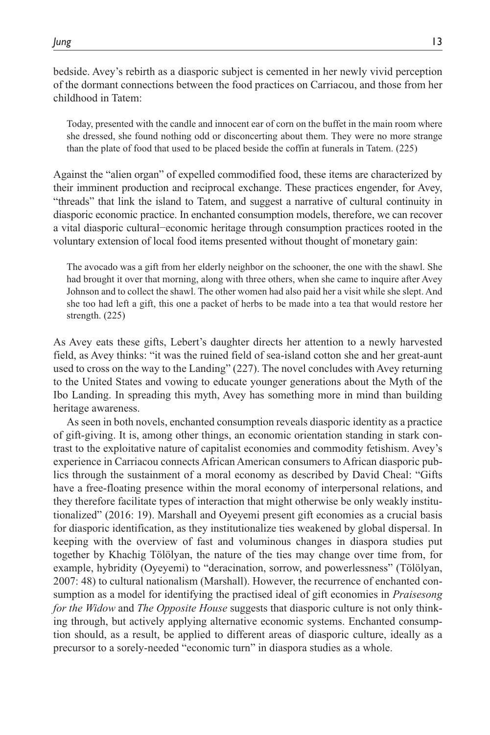bedside. Avey's rebirth as a diasporic subject is cemented in her newly vivid perception of the dormant connections between the food practices on Carriacou, and those from her childhood in Tatem:

Today, presented with the candle and innocent ear of corn on the buffet in the main room where she dressed, she found nothing odd or disconcerting about them. They were no more strange than the plate of food that used to be placed beside the coffin at funerals in Tatem. (225)

Against the "alien organ" of expelled commodified food, these items are characterized by their imminent production and reciprocal exchange. These practices engender, for Avey, "threads" that link the island to Tatem, and suggest a narrative of cultural continuity in diasporic economic practice. In enchanted consumption models, therefore, we can recover a vital diasporic cultural−economic heritage through consumption practices rooted in the voluntary extension of local food items presented without thought of monetary gain:

The avocado was a gift from her elderly neighbor on the schooner, the one with the shawl. She had brought it over that morning, along with three others, when she came to inquire after Avey Johnson and to collect the shawl. The other women had also paid her a visit while she slept. And she too had left a gift, this one a packet of herbs to be made into a tea that would restore her strength. (225)

As Avey eats these gifts, Lebert's daughter directs her attention to a newly harvested field, as Avey thinks: "it was the ruined field of sea-island cotton she and her great-aunt used to cross on the way to the Landing" (227). The novel concludes with Avey returning to the United States and vowing to educate younger generations about the Myth of the Ibo Landing. In spreading this myth, Avey has something more in mind than building heritage awareness.

As seen in both novels, enchanted consumption reveals diasporic identity as a practice of gift-giving. It is, among other things, an economic orientation standing in stark contrast to the exploitative nature of capitalist economies and commodity fetishism. Avey's experience in Carriacou connects African American consumers to African diasporic publics through the sustainment of a moral economy as described by David Cheal: "Gifts have a free-floating presence within the moral economy of interpersonal relations, and they therefore facilitate types of interaction that might otherwise be only weakly institutionalized" (2016: 19). Marshall and Oyeyemi present gift economies as a crucial basis for diasporic identification, as they institutionalize ties weakened by global dispersal. In keeping with the overview of fast and voluminous changes in diaspora studies put together by Khachig Tölölyan, the nature of the ties may change over time from, for example, hybridity (Oyeyemi) to "deracination, sorrow, and powerlessness" (Tölölyan, 2007: 48) to cultural nationalism (Marshall). However, the recurrence of enchanted consumption as a model for identifying the practised ideal of gift economies in *Praisesong for the Widow* and *The Opposite House* suggests that diasporic culture is not only thinking through, but actively applying alternative economic systems. Enchanted consumption should, as a result, be applied to different areas of diasporic culture, ideally as a precursor to a sorely-needed "economic turn" in diaspora studies as a whole.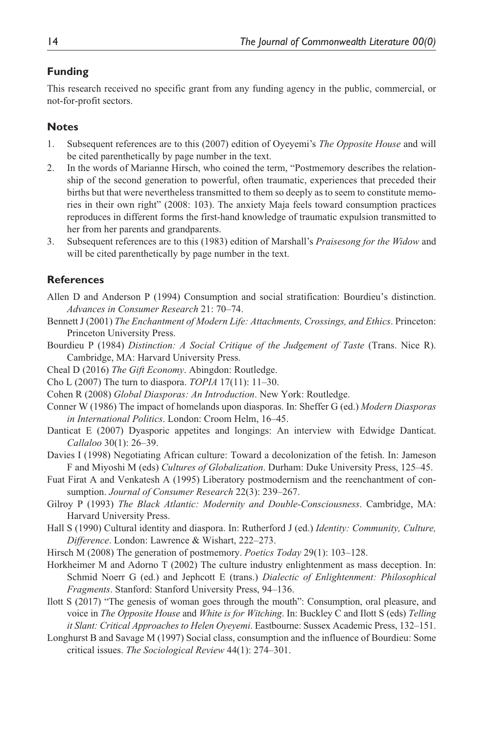### **Funding**

This research received no specific grant from any funding agency in the public, commercial, or not-for-profit sectors.

### **Notes**

- 1. Subsequent references are to this (2007) edition of Oyeyemi's *The Opposite House* and will be cited parenthetically by page number in the text.
- 2. In the words of Marianne Hirsch, who coined the term, "Postmemory describes the relationship of the second generation to powerful, often traumatic, experiences that preceded their births but that were nevertheless transmitted to them so deeply as to seem to constitute memories in their own right" (2008: 103). The anxiety Maja feels toward consumption practices reproduces in different forms the first-hand knowledge of traumatic expulsion transmitted to her from her parents and grandparents.
- 3. Subsequent references are to this (1983) edition of Marshall's *Praisesong for the Widow* and will be cited parenthetically by page number in the text.

### **References**

Allen D and Anderson P (1994) Consumption and social stratification: Bourdieu's distinction. *Advances in Consumer Research* 21: 70–74.

- Bennett J (2001) *The Enchantment of Modern Life: Attachments, Crossings, and Ethics*. Princeton: Princeton University Press.
- Bourdieu P (1984) *Distinction: A Social Critique of the Judgement of Taste* (Trans. Nice R). Cambridge, MA: Harvard University Press.
- Cheal D (2016) *The Gift Economy*. Abingdon: Routledge.
- Cho L (2007) The turn to diaspora. *TOPIA* 17(11): 11–30.
- Cohen R (2008) *Global Diasporas: An Introduction*. New York: Routledge.
- Conner W (1986) The impact of homelands upon diasporas. In: Sheffer G (ed.) *Modern Diasporas in International Politics*. London: Croom Helm, 16–45.
- Danticat E (2007) Dyasporic appetites and longings: An interview with Edwidge Danticat. *Callaloo* 30(1): 26–39.
- Davies I (1998) Negotiating African culture: Toward a decolonization of the fetish. In: Jameson F and Miyoshi M (eds) *Cultures of Globalization*. Durham: Duke University Press, 125–45.
- Fuat Firat A and Venkatesh A (1995) Liberatory postmodernism and the reenchantment of consumption. *Journal of Consumer Research* 22(3): 239–267.
- Gilroy P (1993) *The Black Atlantic: Modernity and Double-Consciousness*. Cambridge, MA: Harvard University Press.
- Hall S (1990) Cultural identity and diaspora. In: Rutherford J (ed.) *Identity: Community, Culture, Difference*. London: Lawrence & Wishart, 222–273.
- Hirsch M (2008) The generation of postmemory. *Poetics Today* 29(1): 103–128.
- Horkheimer M and Adorno T (2002) The culture industry enlightenment as mass deception. In: Schmid Noerr G (ed.) and Jephcott E (trans.) *Dialectic of Enlightenment: Philosophical Fragments*. Stanford: Stanford University Press, 94–136.
- Ilott S (2017) "The genesis of woman goes through the mouth": Consumption, oral pleasure, and voice in *The Opposite House* and *White is for Witching*. In: Buckley C and Ilott S (eds) *Telling it Slant: Critical Approaches to Helen Oyeyemi*. Eastbourne: Sussex Academic Press, 132–151.
- Longhurst B and Savage M (1997) Social class, consumption and the influence of Bourdieu: Some critical issues. *The Sociological Review* 44(1): 274–301.